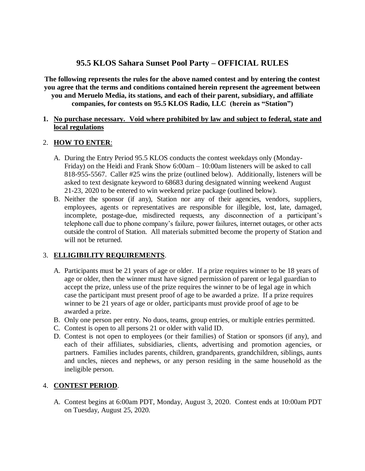# **95.5 KLOS Sahara Sunset Pool Party – OFFICIAL RULES**

**The following represents the rules for the above named contest and by entering the contest you agree that the terms and conditions contained herein represent the agreement between you and Meruelo Media, its stations, and each of their parent, subsidiary, and affiliate companies, for contests on 95.5 KLOS Radio, LLC (herein as "Station")**

#### **1. No purchase necessary. Void where prohibited by law and subject to federal, state and local regulations**

#### 2. **HOW TO ENTER**:

- A. During the Entry Period 95.5 KLOS conducts the contest weekdays only (Monday-Friday) on the Heidi and Frank Show 6:00am – 10:00am listeners will be asked to call 818-955-5567. Caller #25 wins the prize (outlined below). Additionally, listeners will be asked to text designate keyword to 68683 during designated winning weekend August 21-23, 2020 to be entered to win weekend prize package (outlined below).
- B. Neither the sponsor (if any), Station nor any of their agencies, vendors, suppliers, employees, agents or representatives are responsible for illegible, lost, late, damaged, incomplete, postage-due, misdirected requests, any disconnection of a participant's telephone call due to phone company's failure, power failures, internet outages, or other acts outside the control of Station. All materials submitted become the property of Station and will not be returned.

## 3. **ELLIGIBILITY REQUIREMENTS**.

- A. Participants must be 21 years of age or older. If a prize requires winner to be 18 years of age or older, then the winner must have signed permission of parent or legal guardian to accept the prize, unless use of the prize requires the winner to be of legal age in which case the participant must present proof of age to be awarded a prize. If a prize requires winner to be 21 years of age or older, participants must provide proof of age to be awarded a prize.
- B. Only one person per entry. No duos, teams, group entries, or multiple entries permitted.
- C. Contest is open to all persons 21 or older with valid ID.
- D. Contest is not open to employees (or their families) of Station or sponsors (if any), and each of their affiliates, subsidiaries, clients, advertising and promotion agencies, or partners. Families includes parents, children, grandparents, grandchildren, siblings, aunts and uncles, nieces and nephews, or any person residing in the same household as the ineligible person.

#### 4. **CONTEST PERIOD**.

A. Contest begins at 6:00am PDT, Monday, August 3, 2020. Contest ends at 10:00am PDT on Tuesday, August 25, 2020.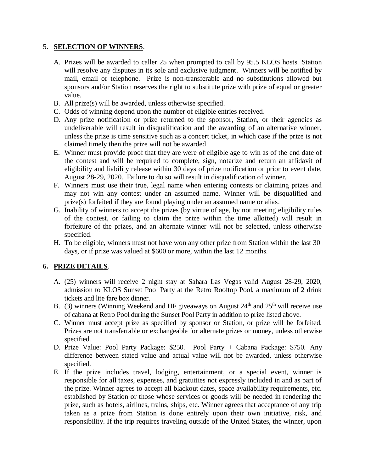#### 5. **SELECTION OF WINNERS**.

- A. Prizes will be awarded to caller 25 when prompted to call by 95.5 KLOS hosts. Station will resolve any disputes in its sole and exclusive judgment. Winners will be notified by mail, email or telephone. Prize is non-transferable and no substitutions allowed but sponsors and/or Station reserves the right to substitute prize with prize of equal or greater value.
- B. All prize(s) will be awarded, unless otherwise specified.
- C. Odds of winning depend upon the number of eligible entries received.
- D. Any prize notification or prize returned to the sponsor, Station, or their agencies as undeliverable will result in disqualification and the awarding of an alternative winner, unless the prize is time sensitive such as a concert ticket, in which case if the prize is not claimed timely then the prize will not be awarded.
- E. Winner must provide proof that they are were of eligible age to win as of the end date of the contest and will be required to complete, sign, notarize and return an affidavit of eligibility and liability release within 30 days of prize notification or prior to event date, August 28-29, 2020. Failure to do so will result in disqualification of winner.
- F. Winners must use their true, legal name when entering contests or claiming prizes and may not win any contest under an assumed name. Winner will be disqualified and prize(s) forfeited if they are found playing under an assumed name or alias.
- G. Inability of winners to accept the prizes (by virtue of age, by not meeting eligibility rules of the contest, or failing to claim the prize within the time allotted) will result in forfeiture of the prizes, and an alternate winner will not be selected, unless otherwise specified.
- H. To be eligible, winners must not have won any other prize from Station within the last 30 days, or if prize was valued at \$600 or more, within the last 12 months.

## **6. PRIZE DETAILS**.

- A. (25) winners will receive 2 night stay at Sahara Las Vegas valid August 28-29, 2020, admission to KLOS Sunset Pool Party at the Retro Rooftop Pool, a maximum of 2 drink tickets and lite fare box dinner.
- B. (3) winners (Winning Weekend and HF giveaways on August  $24<sup>th</sup>$  and  $25<sup>th</sup>$  will receive use of cabana at Retro Pool during the Sunset Pool Party in addition to prize listed above.
- C. Winner must accept prize as specified by sponsor or Station, or prize will be forfeited. Prizes are not transferrable or exchangeable for alternate prizes or money, unless otherwise specified.
- D. Prize Value: Pool Party Package: \$250. Pool Party + Cabana Package: \$750. Any difference between stated value and actual value will not be awarded, unless otherwise specified.
- E. If the prize includes travel, lodging, entertainment, or a special event, winner is responsible for all taxes, expenses, and gratuities not expressly included in and as part of the prize. Winner agrees to accept all blackout dates, space availability requirements, etc. established by Station or those whose services or goods will be needed in rendering the prize, such as hotels, airlines, trains, ships, etc. Winner agrees that acceptance of any trip taken as a prize from Station is done entirely upon their own initiative, risk, and responsibility. If the trip requires traveling outside of the United States, the winner, upon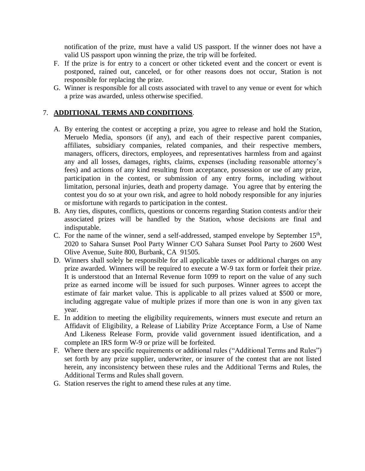notification of the prize, must have a valid US passport. If the winner does not have a valid US passport upon winning the prize, the trip will be forfeited.

- F. If the prize is for entry to a concert or other ticketed event and the concert or event is postponed, rained out, canceled, or for other reasons does not occur, Station is not responsible for replacing the prize.
- G. Winner is responsible for all costs associated with travel to any venue or event for which a prize was awarded, unless otherwise specified.

## 7. **ADDITIONAL TERMS AND CONDITIONS**.

- A. By entering the contest or accepting a prize, you agree to release and hold the Station, Meruelo Media, sponsors (if any), and each of their respective parent companies, affiliates, subsidiary companies, related companies, and their respective members, managers, officers, directors, employees, and representatives harmless from and against any and all losses, damages, rights, claims, expenses (including reasonable attorney's fees) and actions of any kind resulting from acceptance, possession or use of any prize, participation in the contest, or submission of any entry forms, including without limitation, personal injuries, death and property damage. You agree that by entering the contest you do so at your own risk, and agree to hold nobody responsible for any injuries or misfortune with regards to participation in the contest.
- B. Any ties, disputes, conflicts, questions or concerns regarding Station contests and/or their associated prizes will be handled by the Station, whose decisions are final and indisputable.
- C. For the name of the winner, send a self-addressed, stamped envelope by September  $15<sup>th</sup>$ , 2020 to Sahara Sunset Pool Party Winner C/O Sahara Sunset Pool Party to 2600 West Olive Avenue, Suite 800, Burbank, CA 91505.
- D. Winners shall solely be responsible for all applicable taxes or additional charges on any prize awarded. Winners will be required to execute a W-9 tax form or forfeit their prize. It is understood that an Internal Revenue form 1099 to report on the value of any such prize as earned income will be issued for such purposes. Winner agrees to accept the estimate of fair market value. This is applicable to all prizes valued at \$500 or more, including aggregate value of multiple prizes if more than one is won in any given tax year.
- E. In addition to meeting the eligibility requirements, winners must execute and return an Affidavit of Eligibility, a Release of Liability Prize Acceptance Form, a Use of Name And Likeness Release Form, provide valid government issued identification, and a complete an IRS form W-9 or prize will be forfeited.
- F. Where there are specific requirements or additional rules ("Additional Terms and Rules") set forth by any prize supplier, underwriter, or insurer of the contest that are not listed herein, any inconsistency between these rules and the Additional Terms and Rules, the Additional Terms and Rules shall govern.
- G. Station reserves the right to amend these rules at any time.